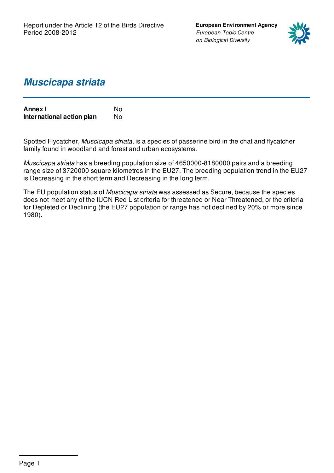**European Environment Agency** *European Topic Centre on Biological Diversity*



## *Muscicapa striata*

| <b>Annex I</b>            | N٥ |
|---------------------------|----|
| International action plan | N٥ |

Spotted Flycatcher, *Muscicapa striata*, is a species of passerine bird in the chat and flycatcher family found in woodland and forest and urban ecosystems.

*Muscicapa striata* has a breeding population size of 4650000-8180000 pairs and a breeding range size of 3720000 square kilometres in the EU27. The breeding population trend in the EU27 is Decreasing in the short term and Decreasing in the long term.

The EU population status of *Muscicapa striata* was assessed as Secure, because the species does not meet any of the IUCN Red List criteria for threatened or Near Threatened, or the criteria for Depleted or Declining (the EU27 population or range has not declined by 20% or more since 1980).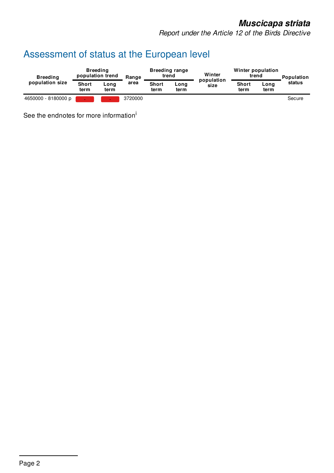*Report under the Article 12 of the Birds Directive*

# Assessment of status at the European level

| <b>Breeding</b><br>population size | <b>Breeding</b><br>population trend |              | Range   | <b>Breeding range</b><br>trend |              | Winter             | Winter population<br>trend |              | Population |
|------------------------------------|-------------------------------------|--------------|---------|--------------------------------|--------------|--------------------|----------------------------|--------------|------------|
|                                    | <b>Short</b><br>term                | Long<br>term | area    | <b>Short</b><br>term           | Long<br>term | population<br>size | <b>Short</b><br>term       | Long<br>term | status     |
| 4650000 - 8180000 p                |                                     | ÷            | 3720000 |                                |              |                    |                            |              | Secure     |

See the endnotes for more information<sup>i</sup>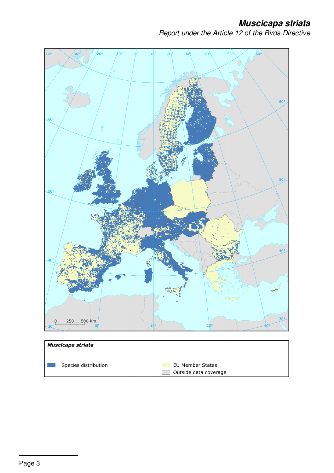*Report under the Article 12 of the Birds Directive*



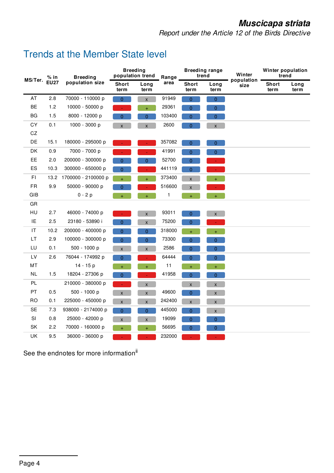*Report under the Article 12 of the Birds Directive*

### Trends at the Member State level

| % in<br>MS/Ter.<br><b>EU27</b> | <b>Breeding</b> | <b>Breeding</b><br>population trend |                    | Range              | <b>Breeding range</b><br>trend |                    | Winter<br>population | Winter population<br>trend |              |  |
|--------------------------------|-----------------|-------------------------------------|--------------------|--------------------|--------------------------------|--------------------|----------------------|----------------------------|--------------|--|
|                                | population size | Short<br>term                       | Long<br>term       | area               | <b>Short</b><br>term           | Long<br>term       | size                 | Short<br>term              | Long<br>term |  |
| AT                             | $2.8\,$         | 70000 - 110000 p                    | $\overline{0}$     | $\pmb{\mathsf{X}}$ | 91949                          | $\overline{0}$     | $\overline{0}$       |                            |              |  |
| BE                             | 1.2             | 10000 - 50000 p                     |                    | $+$                | 29361                          | $\overline{0}$     | $\pmb{0}$            |                            |              |  |
| BG                             | 1.5             | 8000 - 12000 p                      | 0                  | $\overline{0}$     | 103400                         | $\boldsymbol{0}$   | $\overline{0}$       |                            |              |  |
| CY                             | 0.1             | 1000 - 3000 p                       | $\pmb{\mathsf{X}}$ | $\mathsf{X}$       | 2600                           | $\mathbf{0}$       | $\mathsf{X}$         |                            |              |  |
| CZ                             |                 |                                     |                    |                    |                                |                    |                      |                            |              |  |
| DE                             | 15.1            | 180000 - 295000 p                   |                    |                    | 357082                         | $\overline{0}$     | $\overline{0}$       |                            |              |  |
| DK                             | 0.9             | 7000 - 7000 p                       |                    | $\omega$           | 41991                          | $\overline{0}$     | $\overline{0}$       |                            |              |  |
| EE                             | 2.0             | 200000 - 300000 p                   | 0                  | 0                  | 52700                          | $\pmb{0}$          | $\Delta \phi$        |                            |              |  |
| ES                             | 10.3            | 300000 - 650000 p                   | $\overline{0}$     |                    | 441119                         | 0                  |                      |                            |              |  |
| FI                             | 13.2            | 1700000 - 2100000 p                 | $+$                | $\ddot{}$          | 373400                         | $\pmb{\mathsf{X}}$ | $+$                  |                            |              |  |
| <b>FR</b>                      | 9.9             | 50000 - 90000 p                     | $\Omega$           | ÷.                 | 516600                         | $\pmb{\times}$     |                      |                            |              |  |
| <b>GIB</b>                     |                 | $0 - 2p$                            | $\ddot{}$          | $\ddot{}$          | 1                              | $\ddot{}$          | $\ddot{}$            |                            |              |  |
| GR                             |                 |                                     |                    |                    |                                |                    |                      |                            |              |  |
| HU                             | 2.7             | 46000 - 74000 p                     |                    | $\pmb{\mathsf{X}}$ | 93011                          | $\mathbf{0}$       | $\mathsf X$          |                            |              |  |
| IE                             | 2.5             | 23180 - 53890 i                     | $\overline{0}$     | $\pmb{\mathsf{X}}$ | 75200                          | $\overline{0}$     | ÷.                   |                            |              |  |
| $\ensuremath{\mathsf{IT}}$     | 10.2            | 200000 - 400000 p                   | $\overline{0}$     | $\overline{0}$     | 318000                         | $+$                | $\pm$                |                            |              |  |
| LT                             | 2.9             | 100000 - 300000 p                   | $\overline{0}$     | $\overline{0}$     | 73300                          | $\overline{0}$     | $\overline{0}$       |                            |              |  |
| LU                             | 0.1             | 500 - 1000 p                        | X                  | $\pmb{\chi}$       | 2586                           | $\overline{0}$     | $\overline{0}$       |                            |              |  |
| LV                             | 2.6             | 76044 - 174992 p                    | 0                  | $\omega$           | 64444                          | $\overline{0}$     | $\overline{0}$       |                            |              |  |
| MT                             |                 | 14 - 15 p                           | $+$                | $+$                | 11                             | $\pm ^{+}$         | $+$                  |                            |              |  |
| NL                             | 1.5             | 18204 - 27306 p                     | $\overline{0}$     | $\omega$           | 41958                          | $\overline{0}$     | $\overline{0}$       |                            |              |  |
| PL.                            |                 | 210000 - 380000 p                   | ÷.                 | $\pmb{\mathsf{x}}$ |                                | $\mathsf X$        | $\pmb{\mathsf{X}}$   |                            |              |  |
| PT                             | 0.5             | 500 - 1000 p                        | $\mathsf{X}$       | $\pmb{\mathsf{X}}$ | 49600                          | $\overline{0}$     | $\pmb{\mathsf{X}}$   |                            |              |  |
| <b>RO</b>                      | 0.1             | 225000 - 450000 p                   | X                  | $\pmb{\mathsf{x}}$ | 242400                         | $\pmb{\mathsf{X}}$ | $\pmb{\mathsf{X}}$   |                            |              |  |
| <b>SE</b>                      | 7.3             | 938000 - 2174000 p                  | $\overline{0}$     | $\overline{0}$     | 445000                         | $\overline{0}$     | $\pmb{\mathsf{X}}$   |                            |              |  |
| SI                             | 0.8             | 25000 - 42000 p                     | X                  | $\pmb{\mathsf{X}}$ | 19099                          | 0                  | $\pmb{0}$            |                            |              |  |
| SK                             | 2.2             | 70000 - 160000 p                    | $+$                | $\ddot{}$          | 56695                          | $\pmb{0}$          | $\pmb{0}$            |                            |              |  |
| UK                             | 9.5             | 36000 - 36000 p                     |                    |                    | 232000                         |                    |                      |                            |              |  |

See the endnotes for more information<sup>ii</sup>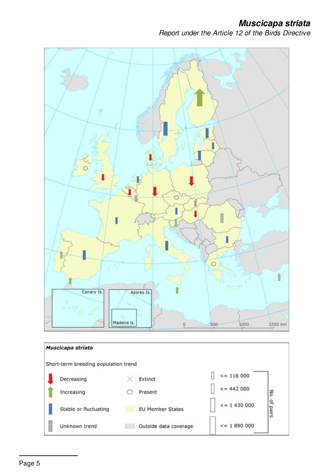*Report under the Article 12 of the Birds Directive*

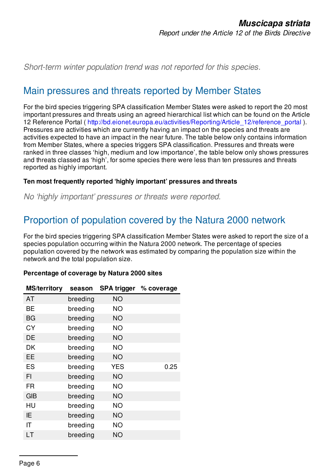*Short-term winter population trend was not reported for this species.*

### Main pressures and threats reported by Member States

For the bird species triggering SPA classification Member States were asked to report the 20 most important pressures and threats using an agreed hierarchical list which can be found on the Article 12 Reference Portal ( [http://bd.eionet.europa.eu/activities/Reporting/Article\\_12/reference\\_portal](http://bd.eionet.europa.eu/activities/Reporting/Article_12/reference_portal) ). Pressures are activities which are currently having an impact on the species and threats are activities expected to have an impact in the near future. The table below only contains information from Member States, where a species triggers SPA classification. Pressures and threats were ranked in three classes 'high, medium and low importance', the table below only shows pressures and threats classed as 'high', for some species there were less than ten pressures and threats reported as highly important.

#### **Ten most frequently reported 'highly important' pressures and threats**

*No 'highly important' pressures or threats were reported.*

# Proportion of population covered by the Natura 2000 network

For the bird species triggering SPA classification Member States were asked to report the size of a species population occurring within the Natura 2000 network. The percentage of species population covered by the network was estimated by comparing the population size within the network and the total population size.

#### **Percentage of coverage by Natura 2000 sites**

| <b>MS/territory</b> | season   | <b>SPA trigger</b> | % coverage |  |
|---------------------|----------|--------------------|------------|--|
| AT                  | breeding | <b>NO</b>          |            |  |
| BE                  | breeding | <b>NO</b>          |            |  |
| <b>BG</b>           | breeding | <b>NO</b>          |            |  |
| <b>CY</b>           | breeding | <b>NO</b>          |            |  |
| DE                  | breeding | <b>NO</b>          |            |  |
| DK                  | breeding | <b>NO</b>          |            |  |
| EE                  | breeding | <b>NO</b>          |            |  |
| ES                  | breeding | <b>YES</b>         | 0.25       |  |
| FI                  | breeding | <b>NO</b>          |            |  |
| <b>FR</b>           | breeding | <b>NO</b>          |            |  |
| <b>GIB</b>          | breeding | NO.                |            |  |
| HU                  | breeding | <b>NO</b>          |            |  |
| ΙE                  | breeding | <b>NO</b>          |            |  |
| IT                  | breeding | <b>NO</b>          |            |  |
| LT                  | breeding | <b>NO</b>          |            |  |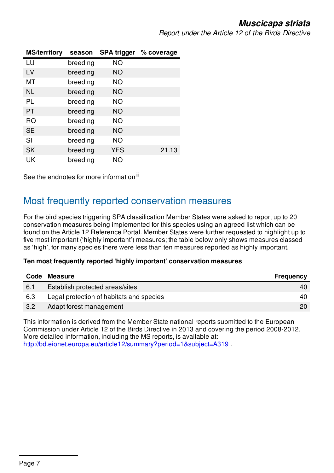*Report under the Article 12 of the Birds Directive*

| <b>MS/territory</b> | season   |            | SPA trigger % coverage |
|---------------------|----------|------------|------------------------|
| LU                  | breeding | <b>NO</b>  |                        |
| LV                  | breeding | <b>NO</b>  |                        |
| MT                  | breeding | ΝO         |                        |
| <b>NL</b>           | breeding | <b>NO</b>  |                        |
| PL                  | breeding | <b>NO</b>  |                        |
| <b>PT</b>           | breeding | <b>NO</b>  |                        |
| <b>RO</b>           | breeding | <b>NO</b>  |                        |
| <b>SE</b>           | breeding | NO         |                        |
| SI                  | breeding | <b>NO</b>  |                        |
| <b>SK</b>           | breeding | <b>YES</b> | 21.13                  |
| UK                  | breeding | <b>NO</b>  |                        |

See the endnotes for more information<sup>iii</sup>

### Most frequently reported conservation measures

For the bird species triggering SPA classification Member States were asked to report up to 20 conservation measures being implemented for this species using an agreed list which can be found on the Article 12 Reference Portal. Member States were further requested to highlight up to five most important ('highly important') measures; the table below only shows measures classed as 'high', for many species there were less than ten measures reported as highly important.

#### **Ten most frequently reported 'highly important' conservation measures**

| Code | <b>Measure</b>                           | <b>Frequency</b> |
|------|------------------------------------------|------------------|
| 6.1  | Establish protected areas/sites          | 40               |
| 6.3  | Legal protection of habitats and species | 40               |
| 3.2  | Adapt forest management                  | 20               |

This information is derived from the Member State national reports submitted to the European Commission under Article 12 of the Birds Directive in 2013 and covering the period 2008-2012. More detailed information, including the MS reports, is available at: <http://bd.eionet.europa.eu/article12/summary?period=1&subject=A319> .